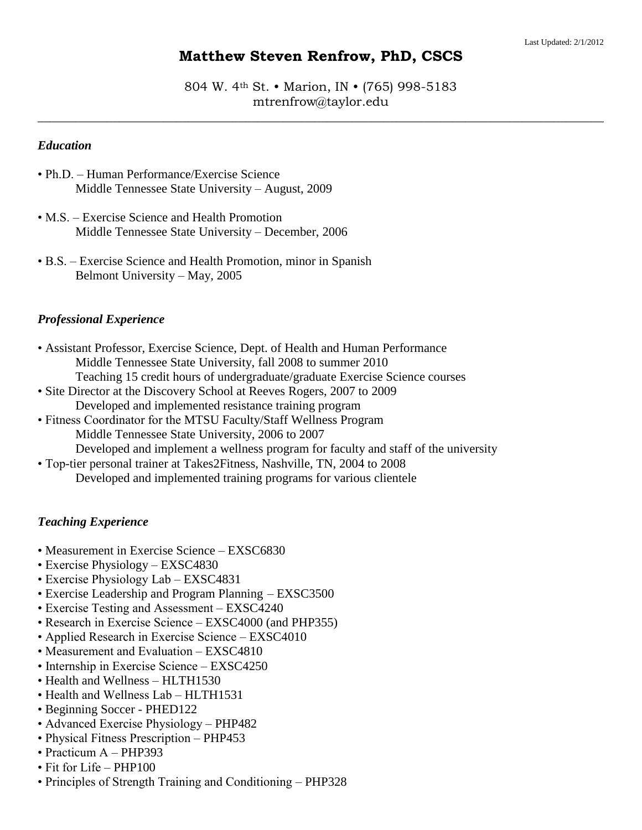# **Matthew Steven Renfrow, PhD, CSCS**

804 W. 4th St. • Marion, IN • (765) 998-5183 mtrenfrow@taylor.edu

 $\_$  , and the set of the set of the set of the set of the set of the set of the set of the set of the set of the set of the set of the set of the set of the set of the set of the set of the set of the set of the set of th

### *Education*

- Ph.D. Human Performance/Exercise Science Middle Tennessee State University – August, 2009
- M.S. Exercise Science and Health Promotion Middle Tennessee State University – December, 2006
- B.S. Exercise Science and Health Promotion, minor in Spanish Belmont University – May, 2005

#### *Professional Experience*

- Assistant Professor, Exercise Science, Dept. of Health and Human Performance Middle Tennessee State University, fall 2008 to summer 2010 Teaching 15 credit hours of undergraduate/graduate Exercise Science courses
- Site Director at the Discovery School at Reeves Rogers, 2007 to 2009
- Developed and implemented resistance training program • Fitness Coordinator for the MTSU Faculty/Staff Wellness Program
	- Middle Tennessee State University, 2006 to 2007

Developed and implement a wellness program for faculty and staff of the university

• Top-tier personal trainer at Takes2Fitness, Nashville, TN, 2004 to 2008 Developed and implemented training programs for various clientele

### *Teaching Experience*

- Measurement in Exercise Science EXSC6830
- Exercise Physiology EXSC4830
- Exercise Physiology Lab EXSC4831
- Exercise Leadership and Program Planning EXSC3500
- Exercise Testing and Assessment EXSC4240
- Research in Exercise Science EXSC4000 (and PHP355)
- Applied Research in Exercise Science EXSC4010
- Measurement and Evaluation EXSC4810
- Internship in Exercise Science EXSC4250
- Health and Wellness HLTH1530
- Health and Wellness Lab HLTH1531
- Beginning Soccer PHED122
- Advanced Exercise Physiology PHP482
- Physical Fitness Prescription PHP453
- Practicum A PHP393
- Fit for Life PHP100
- Principles of Strength Training and Conditioning PHP328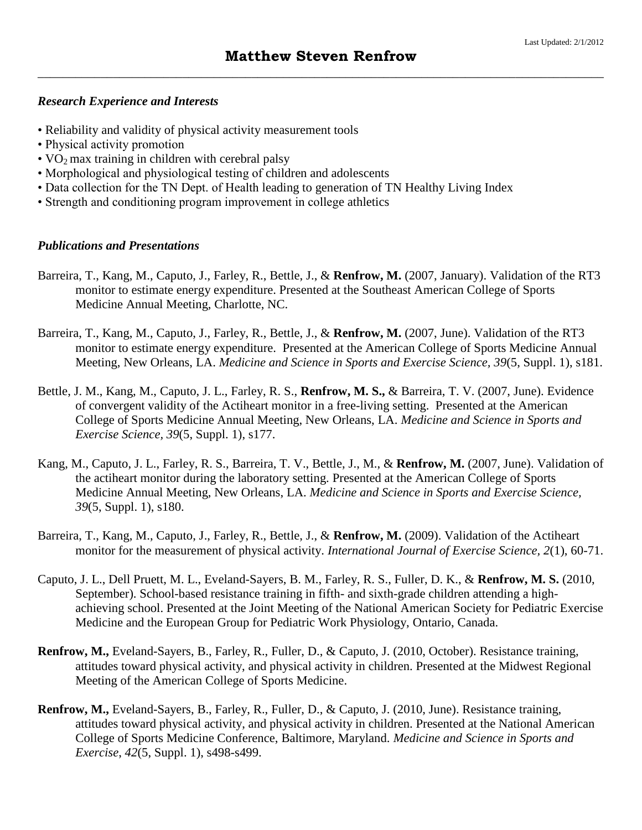### *Research Experience and Interests*

- Reliability and validity of physical activity measurement tools
- Physical activity promotion
- $VO<sub>2</sub>$  max training in children with cerebral palsy
- Morphological and physiological testing of children and adolescents
- Data collection for the TN Dept. of Health leading to generation of TN Healthy Living Index
- Strength and conditioning program improvement in college athletics

### *Publications and Presentations*

- Barreira, T., Kang, M., Caputo, J., Farley, R., Bettle, J., & **Renfrow, M.** (2007, January). Validation of the RT3 monitor to estimate energy expenditure. Presented at the Southeast American College of Sports Medicine Annual Meeting, Charlotte, NC.
- Barreira, T., Kang, M., Caputo, J., Farley, R., Bettle, J., & **Renfrow, M.** (2007, June). Validation of the RT3 monitor to estimate energy expenditure. Presented at the American College of Sports Medicine Annual Meeting, New Orleans, LA. *Medicine and Science in Sports and Exercise Science, 39*(5, Suppl. 1), s181.
- Bettle, J. M., Kang, M., Caputo, J. L., Farley, R. S., **Renfrow, M. S.,** & Barreira, T. V. (2007, June). Evidence of convergent validity of the Actiheart monitor in a free-living setting. Presented at the American College of Sports Medicine Annual Meeting, New Orleans, LA. *Medicine and Science in Sports and Exercise Science, 39*(5, Suppl. 1), s177.
- Kang, M., Caputo, J. L., Farley, R. S., Barreira, T. V., Bettle, J., M., & **Renfrow, M.** (2007, June). Validation of the actiheart monitor during the laboratory setting. Presented at the American College of Sports Medicine Annual Meeting, New Orleans, LA. *Medicine and Science in Sports and Exercise Science, 39*(5, Suppl. 1), s180.
- Barreira, T., Kang, M., Caputo, J., Farley, R., Bettle, J., & **Renfrow, M.** (2009). Validation of the Actiheart monitor for the measurement of physical activity. *International Journal of Exercise Science, 2*(1), 60-71.
- Caputo, J. L., Dell Pruett, M. L., Eveland-Sayers, B. M., Farley, R. S., Fuller, D. K., & **Renfrow, M. S.** (2010, September). School-based resistance training in fifth- and sixth-grade children attending a highachieving school. Presented at the Joint Meeting of the National American Society for Pediatric Exercise Medicine and the European Group for Pediatric Work Physiology, Ontario, Canada.
- **Renfrow, M.,** Eveland-Sayers, B., Farley, R., Fuller, D., & Caputo, J. (2010, October). Resistance training, attitudes toward physical activity, and physical activity in children. Presented at the Midwest Regional Meeting of the American College of Sports Medicine.
- **Renfrow, M.,** Eveland-Sayers, B., Farley, R., Fuller, D., & Caputo, J. (2010, June). Resistance training, attitudes toward physical activity, and physical activity in children. Presented at the National American College of Sports Medicine Conference, Baltimore, Maryland. *Medicine and Science in Sports and Exercise*, *42*(5, Suppl. 1), s498-s499.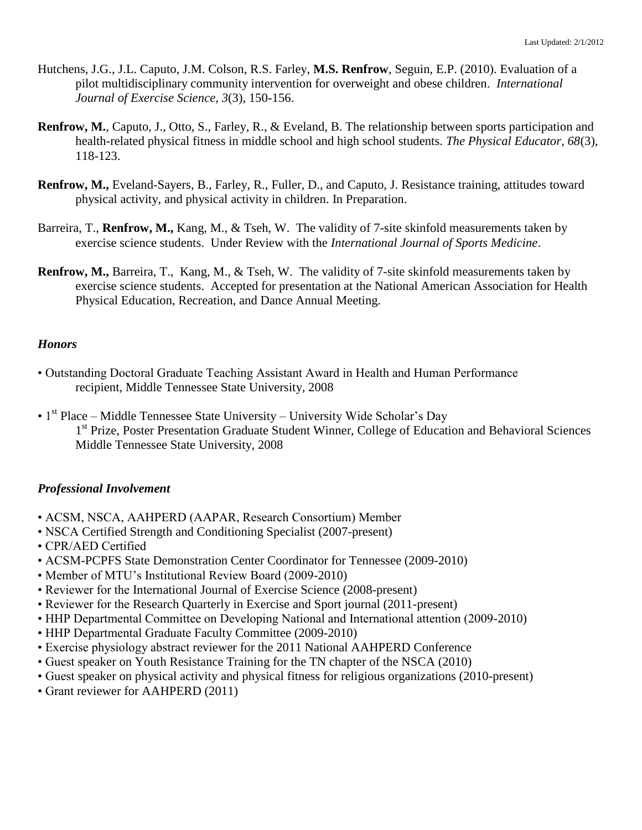- Hutchens, J.G., J.L. Caputo, J.M. Colson, R.S. Farley, **M.S. Renfrow**, Seguin, E.P. (2010). Evaluation of a pilot multidisciplinary community intervention for overweight and obese children. *International Journal of Exercise Science, 3*(3), 150-156.
- **Renfrow, M.**, Caputo, J., Otto, S., Farley, R., & Eveland, B. The relationship between sports participation and health-related physical fitness in middle school and high school students. *The Physical Educator, 68*(3), 118-123.
- **Renfrow, M.,** Eveland-Sayers, B., Farley, R., Fuller, D., and Caputo, J. Resistance training, attitudes toward physical activity, and physical activity in children. In Preparation.
- Barreira, T., **Renfrow, M.,** Kang, M., & Tseh, W. The validity of 7-site skinfold measurements taken by exercise science students. Under Review with the *International Journal of Sports Medicine*.
- **Renfrow, M.,** Barreira, T., Kang, M., & Tseh, W. The validity of 7-site skinfold measurements taken by exercise science students. Accepted for presentation at the National American Association for Health Physical Education, Recreation, and Dance Annual Meeting.

### *Honors*

- Outstanding Doctoral Graduate Teaching Assistant Award in Health and Human Performance recipient, Middle Tennessee State University, 2008
- $1<sup>st</sup> Place Middle Tennessee State University University Wide Scholar's Day$ 1<sup>st</sup> Prize, Poster Presentation Graduate Student Winner, College of Education and Behavioral Sciences Middle Tennessee State University, 2008

### *Professional Involvement*

- ACSM, NSCA, AAHPERD (AAPAR, Research Consortium) Member
- NSCA Certified Strength and Conditioning Specialist (2007-present)
- CPR/AED Certified
- ACSM-PCPFS State Demonstration Center Coordinator for Tennessee (2009-2010)
- Member of MTU's Institutional Review Board (2009-2010)
- Reviewer for the International Journal of Exercise Science (2008-present)
- Reviewer for the Research Quarterly in Exercise and Sport journal (2011-present)
- HHP Departmental Committee on Developing National and International attention (2009-2010)
- HHP Departmental Graduate Faculty Committee (2009-2010)
- Exercise physiology abstract reviewer for the 2011 National AAHPERD Conference
- Guest speaker on Youth Resistance Training for the TN chapter of the NSCA (2010)
- Guest speaker on physical activity and physical fitness for religious organizations (2010-present)
- Grant reviewer for AAHPERD (2011)